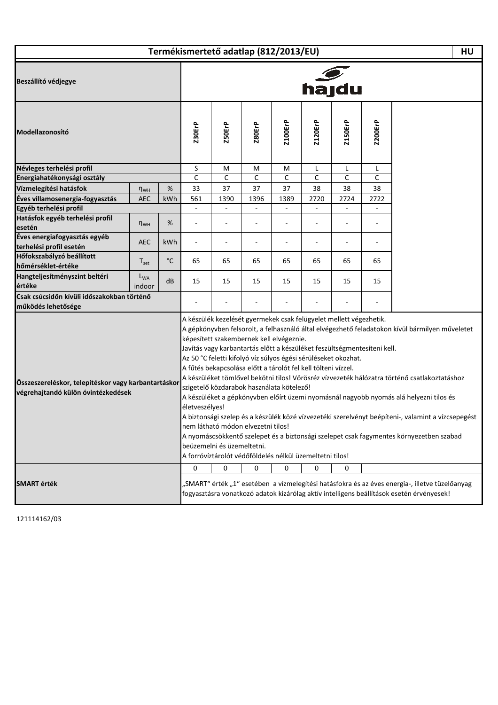| Termékismertető adatlap (812/2013/EU) |  |
|---------------------------------------|--|
|---------------------------------------|--|

**HU**

 $\mathbf l$ 

| Beszállító védjegye                                                                       | $h$ ajdu           |                |                                                                                                                                                           |                |                          |                                                                                                                                                                                                                                                                   |                |                                                                          |                                                                                                                                                                                                                                                                                                                                                                                                                                                                                           |                                                                                                                                                                                            |
|-------------------------------------------------------------------------------------------|--------------------|----------------|-----------------------------------------------------------------------------------------------------------------------------------------------------------|----------------|--------------------------|-------------------------------------------------------------------------------------------------------------------------------------------------------------------------------------------------------------------------------------------------------------------|----------------|--------------------------------------------------------------------------|-------------------------------------------------------------------------------------------------------------------------------------------------------------------------------------------------------------------------------------------------------------------------------------------------------------------------------------------------------------------------------------------------------------------------------------------------------------------------------------------|--------------------------------------------------------------------------------------------------------------------------------------------------------------------------------------------|
| Modellazonosító                                                                           | <b>Z30ErP</b>      | Z50ErP         | <b>Z80ErP</b>                                                                                                                                             | <b>Z100ErP</b> | Z120ErP                  | <b>Z150ErP</b>                                                                                                                                                                                                                                                    | <b>Z200ErP</b> |                                                                          |                                                                                                                                                                                                                                                                                                                                                                                                                                                                                           |                                                                                                                                                                                            |
| Névleges terhelési profil                                                                 |                    |                | S                                                                                                                                                         | Μ              | M                        | M                                                                                                                                                                                                                                                                 | Г              | L                                                                        | L                                                                                                                                                                                                                                                                                                                                                                                                                                                                                         |                                                                                                                                                                                            |
| Energiahatékonysági osztály                                                               |                    |                | $\overline{C}$                                                                                                                                            | $\mathsf C$    | $\mathsf C$              | $\mathsf{C}$                                                                                                                                                                                                                                                      | $\mathsf C$    | $\mathsf C$                                                              | $\mathsf{C}$                                                                                                                                                                                                                                                                                                                                                                                                                                                                              |                                                                                                                                                                                            |
| Vízmelegítési hatásfok                                                                    | $n_{WH}$           | %              | 33                                                                                                                                                        | 37             | 37                       | 37                                                                                                                                                                                                                                                                | 38             | 38                                                                       | 38                                                                                                                                                                                                                                                                                                                                                                                                                                                                                        |                                                                                                                                                                                            |
| Éves villamosenergia-fogyasztás                                                           | <b>AEC</b>         | kWh            | 561                                                                                                                                                       | 1390           | 1396                     | 1389                                                                                                                                                                                                                                                              | 2720           | 2724                                                                     | 2722                                                                                                                                                                                                                                                                                                                                                                                                                                                                                      |                                                                                                                                                                                            |
| Egyéb terhelési profil                                                                    |                    |                | ÷,                                                                                                                                                        |                | $\overline{\phantom{a}}$ |                                                                                                                                                                                                                                                                   | $\overline{a}$ | $\overline{\phantom{a}}$                                                 |                                                                                                                                                                                                                                                                                                                                                                                                                                                                                           |                                                                                                                                                                                            |
| Hatásfok egyéb terhelési profil                                                           |                    |                |                                                                                                                                                           |                |                          |                                                                                                                                                                                                                                                                   |                |                                                                          |                                                                                                                                                                                                                                                                                                                                                                                                                                                                                           |                                                                                                                                                                                            |
| esetén                                                                                    | $n_{WH}$           | %              | ÷                                                                                                                                                         |                |                          | ÷                                                                                                                                                                                                                                                                 | ÷              |                                                                          |                                                                                                                                                                                                                                                                                                                                                                                                                                                                                           |                                                                                                                                                                                            |
| Éves energiafogyasztás egyéb<br>terhelési profil esetén                                   | <b>AEC</b>         | kWh            | ÷,                                                                                                                                                        |                | $\sim$                   |                                                                                                                                                                                                                                                                   | ä,             |                                                                          |                                                                                                                                                                                                                                                                                                                                                                                                                                                                                           |                                                                                                                                                                                            |
| Hőfokszabályzó beállított<br>hőmérséklet-értéke                                           | $T_{\rm set}$      | $^{\circ}$ C   | 65                                                                                                                                                        | 65             | 65                       | 65                                                                                                                                                                                                                                                                | 65             | 65                                                                       | 65                                                                                                                                                                                                                                                                                                                                                                                                                                                                                        |                                                                                                                                                                                            |
| Hangteljesítményszint beltéri<br>értéke                                                   | $L_{WA}$<br>indoor | dB             | 15                                                                                                                                                        | 15             | 15                       | 15                                                                                                                                                                                                                                                                | 15             | 15                                                                       | 15                                                                                                                                                                                                                                                                                                                                                                                                                                                                                        |                                                                                                                                                                                            |
| Csak csúcsidőn kívüli időszakokban történő                                                |                    |                |                                                                                                                                                           |                |                          |                                                                                                                                                                                                                                                                   |                |                                                                          |                                                                                                                                                                                                                                                                                                                                                                                                                                                                                           |                                                                                                                                                                                            |
| működés lehetősége                                                                        |                    |                |                                                                                                                                                           |                |                          |                                                                                                                                                                                                                                                                   |                |                                                                          |                                                                                                                                                                                                                                                                                                                                                                                                                                                                                           |                                                                                                                                                                                            |
| Összeszereléskor, telepítéskor vagy karbantartáskor<br>végrehajtandó külön óvintézkedések |                    | életveszélyes! | képesített szakembernek kell elvégeznie.<br>szigetelő közdarabok használata kötelező!<br>nem látható módon elvezetni tilos!<br>beüzemelni és üzemeltetni. |                |                          | A készülék kezelését gyermekek csak felügyelet mellett végezhetik.<br>Az 50 °C feletti kifolyó víz súlyos égési sérüléseket okozhat.<br>A fűtés bekapcsolása előtt a tárolót fel kell tölteni vízzel.<br>A forróvíztárolót védőföldelés nélkül üzemeltetni tilos! |                | Javítás vagy karbantartás előtt a készüléket feszültségmentesíteni kell. | A gépkönyvben felsorolt, a felhasználó által elvégezhető feladatokon kívül bármilyen műveletet<br>A készüléket tömlővel bekötni tilos! Vörösréz vízvezeték hálózatra történő csatlakoztatáshoz<br>A készüléket a gépkönyvben előírt üzemi nyomásnál nagyobb nyomás alá helyezni tilos és<br>A biztonsági szelep és a készülék közé vízvezetéki szerelvényt beépíteni-, valamint a vízcsepegést<br>A nyomáscsökkentő szelepet és a biztonsági szelepet csak fagymentes környezetben szabad |                                                                                                                                                                                            |
| <b>SMART</b> érték                                                                        |                    |                | 0                                                                                                                                                         | 0              | 0                        | 0                                                                                                                                                                                                                                                                 | 0              | 0                                                                        |                                                                                                                                                                                                                                                                                                                                                                                                                                                                                           | "SMART" érték "1" esetében a vízmelegítési hatásfokra és az éves energia-, illetve tüzelőanyag<br>fogyasztásra vonatkozó adatok kizárólag aktív intelligens beállítások esetén érvényesek! |

121114162/03

I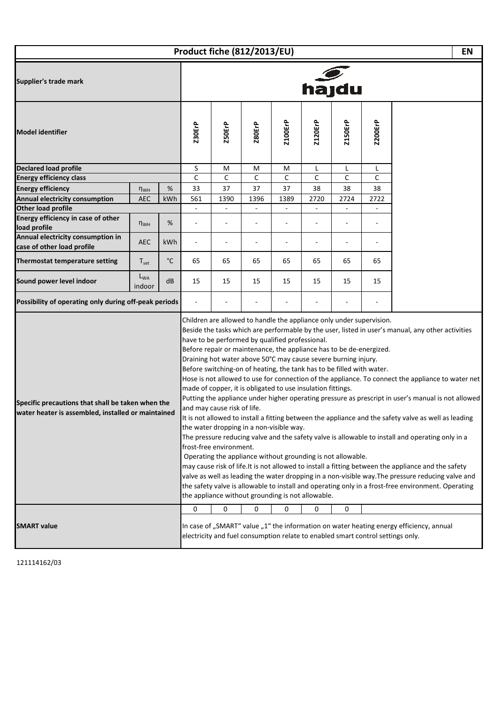|                                                                                                                                                                                                                                                                                                                                                                                                                                                                                                                                                                                                                                                                                                                                                                                                                                                                                                                                                                                                                                                                                                                                                                                                                                                                                                                                                                                                                                                                                                                                        |                    |                   | Product fiche (812/2013/EU) |               |                                                                                      |         |                                                   |                |      | <b>EN</b>                                                                               |  |  |  |
|----------------------------------------------------------------------------------------------------------------------------------------------------------------------------------------------------------------------------------------------------------------------------------------------------------------------------------------------------------------------------------------------------------------------------------------------------------------------------------------------------------------------------------------------------------------------------------------------------------------------------------------------------------------------------------------------------------------------------------------------------------------------------------------------------------------------------------------------------------------------------------------------------------------------------------------------------------------------------------------------------------------------------------------------------------------------------------------------------------------------------------------------------------------------------------------------------------------------------------------------------------------------------------------------------------------------------------------------------------------------------------------------------------------------------------------------------------------------------------------------------------------------------------------|--------------------|-------------------|-----------------------------|---------------|--------------------------------------------------------------------------------------|---------|---------------------------------------------------|----------------|------|-----------------------------------------------------------------------------------------|--|--|--|
| Supplier's trade mark                                                                                                                                                                                                                                                                                                                                                                                                                                                                                                                                                                                                                                                                                                                                                                                                                                                                                                                                                                                                                                                                                                                                                                                                                                                                                                                                                                                                                                                                                                                  |                    |                   | hajdu                       |               |                                                                                      |         |                                                   |                |      |                                                                                         |  |  |  |
| <b>Model identifier</b>                                                                                                                                                                                                                                                                                                                                                                                                                                                                                                                                                                                                                                                                                                                                                                                                                                                                                                                                                                                                                                                                                                                                                                                                                                                                                                                                                                                                                                                                                                                |                    | <b>Z30ErP</b>     | Z50ErP                      | <b>Z80ErP</b> | <b>Z100ErP</b>                                                                       | Z120ErP | <b>Z150ErP</b>                                    | <b>Z200ErP</b> |      |                                                                                         |  |  |  |
| <b>Declared load profile</b>                                                                                                                                                                                                                                                                                                                                                                                                                                                                                                                                                                                                                                                                                                                                                                                                                                                                                                                                                                                                                                                                                                                                                                                                                                                                                                                                                                                                                                                                                                           |                    |                   | S                           | M             | M                                                                                    | M       | L                                                 | L              | L    |                                                                                         |  |  |  |
| <b>Energy efficiency class</b>                                                                                                                                                                                                                                                                                                                                                                                                                                                                                                                                                                                                                                                                                                                                                                                                                                                                                                                                                                                                                                                                                                                                                                                                                                                                                                                                                                                                                                                                                                         |                    |                   | C                           | C             | С                                                                                    | C       | C                                                 | С              | C    |                                                                                         |  |  |  |
| <b>Energy efficiency</b>                                                                                                                                                                                                                                                                                                                                                                                                                                                                                                                                                                                                                                                                                                                                                                                                                                                                                                                                                                                                                                                                                                                                                                                                                                                                                                                                                                                                                                                                                                               | $n_{WH}$           | %                 | 33                          | 37            | 37                                                                                   | 37      | 38                                                | 38             | 38   |                                                                                         |  |  |  |
| Annual electricity consumption                                                                                                                                                                                                                                                                                                                                                                                                                                                                                                                                                                                                                                                                                                                                                                                                                                                                                                                                                                                                                                                                                                                                                                                                                                                                                                                                                                                                                                                                                                         | AEC                | kWh               | 561                         | 1390          | 1396                                                                                 | 1389    | 2720                                              | 2724           | 2722 |                                                                                         |  |  |  |
| Other load profile                                                                                                                                                                                                                                                                                                                                                                                                                                                                                                                                                                                                                                                                                                                                                                                                                                                                                                                                                                                                                                                                                                                                                                                                                                                                                                                                                                                                                                                                                                                     |                    |                   |                             |               | $\overline{\phantom{a}}$                                                             |         |                                                   |                |      |                                                                                         |  |  |  |
| Energy efficiency in case of other<br>load profile                                                                                                                                                                                                                                                                                                                                                                                                                                                                                                                                                                                                                                                                                                                                                                                                                                                                                                                                                                                                                                                                                                                                                                                                                                                                                                                                                                                                                                                                                     | $n_{WH}$           | %                 |                             |               |                                                                                      |         |                                                   |                |      |                                                                                         |  |  |  |
| Annual electricity consumption in<br>case of other load profile                                                                                                                                                                                                                                                                                                                                                                                                                                                                                                                                                                                                                                                                                                                                                                                                                                                                                                                                                                                                                                                                                                                                                                                                                                                                                                                                                                                                                                                                        | <b>AEC</b>         | kWh               |                             |               |                                                                                      |         |                                                   |                |      |                                                                                         |  |  |  |
| Thermostat temperature setting                                                                                                                                                                                                                                                                                                                                                                                                                                                                                                                                                                                                                                                                                                                                                                                                                                                                                                                                                                                                                                                                                                                                                                                                                                                                                                                                                                                                                                                                                                         | $T_{\rm set}$      | $^{\circ}{\rm C}$ | 65                          | 65            | 65                                                                                   | 65      | 65                                                | 65             | 65   |                                                                                         |  |  |  |
| Sound power level indoor                                                                                                                                                                                                                                                                                                                                                                                                                                                                                                                                                                                                                                                                                                                                                                                                                                                                                                                                                                                                                                                                                                                                                                                                                                                                                                                                                                                                                                                                                                               | $L_{WA}$<br>indoor | dB                | 15                          | 15            | 15                                                                                   | 15      | 15                                                | 15             | 15   |                                                                                         |  |  |  |
| Possibility of operating only during off-peak periods                                                                                                                                                                                                                                                                                                                                                                                                                                                                                                                                                                                                                                                                                                                                                                                                                                                                                                                                                                                                                                                                                                                                                                                                                                                                                                                                                                                                                                                                                  |                    |                   |                             |               |                                                                                      |         |                                                   |                |      |                                                                                         |  |  |  |
| Children are allowed to handle the appliance only under supervision.<br>Beside the tasks which are performable by the user, listed in user's manual, any other activities<br>have to be performed by qualified professional.<br>Before repair or maintenance, the appliance has to be de-energized.<br>Draining hot water above 50°C may cause severe burning injury.<br>Before switching-on of heating, the tank has to be filled with water.<br>Hose is not allowed to use for connection of the appliance. To connect the appliance to water net<br>made of copper, it is obligated to use insulation fittings.<br>Putting the appliance under higher operating pressure as prescript in user's manual is not allowed<br>Specific precautions that shall be taken when the<br>and may cause risk of life.<br>water heater is assembled, installed or maintained<br>It is not allowed to install a fitting between the appliance and the safety valve as well as leading<br>the water dropping in a non-visible way.<br>The pressure reducing valve and the safety valve is allowable to install and operating only in a<br>frost-free environment.<br>Operating the appliance without grounding is not allowable.<br>may cause risk of life. It is not allowed to install a fitting between the appliance and the safety<br>valve as well as leading the water dropping in a non-visible way. The pressure reducing valve and<br>the safety valve is allowable to install and operating only in a frost-free environment. Operating |                    |                   |                             |               |                                                                                      |         | the appliance without grounding is not allowable. |                |      |                                                                                         |  |  |  |
| <b>SMART</b> value                                                                                                                                                                                                                                                                                                                                                                                                                                                                                                                                                                                                                                                                                                                                                                                                                                                                                                                                                                                                                                                                                                                                                                                                                                                                                                                                                                                                                                                                                                                     |                    |                   | 0                           | 0             | 0<br>electricity and fuel consumption relate to enabled smart control settings only. | 0       | 0                                                 | 0              |      | In case of "SMART" value "1" the information on water heating energy efficiency, annual |  |  |  |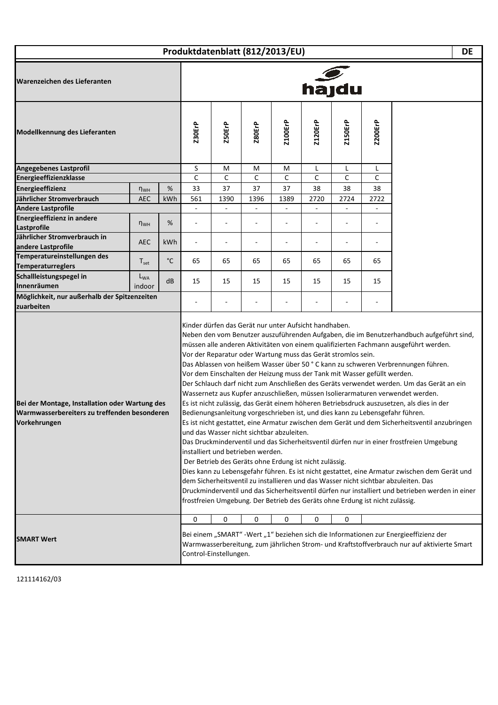| Produktdatenblatt (812/2013/EU) |  |  |
|---------------------------------|--|--|
|---------------------------------|--|--|

**DE**

 $\mathbf{L}$ 

| Warenzeichen des Lieferanten                                                                                   | hajdu            |        |                                                                                                                                                                                                                                                                                                                                        |                                                                                |                |                                                                                                                                                                                 |                |                                                                          |                                                                                                                                                                                                                                                                                                                                                                                                                                                                                                                                                                                                                                                                                                                                                                                                                                                                                                                                                                                                                                                                                                                           |  |
|----------------------------------------------------------------------------------------------------------------|------------------|--------|----------------------------------------------------------------------------------------------------------------------------------------------------------------------------------------------------------------------------------------------------------------------------------------------------------------------------------------|--------------------------------------------------------------------------------|----------------|---------------------------------------------------------------------------------------------------------------------------------------------------------------------------------|----------------|--------------------------------------------------------------------------|---------------------------------------------------------------------------------------------------------------------------------------------------------------------------------------------------------------------------------------------------------------------------------------------------------------------------------------------------------------------------------------------------------------------------------------------------------------------------------------------------------------------------------------------------------------------------------------------------------------------------------------------------------------------------------------------------------------------------------------------------------------------------------------------------------------------------------------------------------------------------------------------------------------------------------------------------------------------------------------------------------------------------------------------------------------------------------------------------------------------------|--|
| Modellkennung des Lieferanten                                                                                  | <b>Z30ErP</b>    | Z50ErP | <b>Z80ErP</b>                                                                                                                                                                                                                                                                                                                          | <b>Z100ErP</b>                                                                 | <b>Z120ErP</b> | <b>Z150ErP</b>                                                                                                                                                                  | <b>Z200ErP</b> |                                                                          |                                                                                                                                                                                                                                                                                                                                                                                                                                                                                                                                                                                                                                                                                                                                                                                                                                                                                                                                                                                                                                                                                                                           |  |
| Angegebenes Lastprofil                                                                                         |                  |        | S                                                                                                                                                                                                                                                                                                                                      | M                                                                              | M              | M                                                                                                                                                                               | Г              | L                                                                        | Г                                                                                                                                                                                                                                                                                                                                                                                                                                                                                                                                                                                                                                                                                                                                                                                                                                                                                                                                                                                                                                                                                                                         |  |
| Energieeffizienzklasse                                                                                         |                  |        | C                                                                                                                                                                                                                                                                                                                                      | C                                                                              | $\mathsf{C}$   | C                                                                                                                                                                               | C              | C                                                                        | C                                                                                                                                                                                                                                                                                                                                                                                                                                                                                                                                                                                                                                                                                                                                                                                                                                                                                                                                                                                                                                                                                                                         |  |
| Energieeffizienz                                                                                               | $n_{WH}$         | %      | 33                                                                                                                                                                                                                                                                                                                                     | 37                                                                             | 37             | 37                                                                                                                                                                              | 38             | 38                                                                       | 38                                                                                                                                                                                                                                                                                                                                                                                                                                                                                                                                                                                                                                                                                                                                                                                                                                                                                                                                                                                                                                                                                                                        |  |
| Jährlicher Stromverbrauch                                                                                      | <b>AEC</b>       | kWh    | 561                                                                                                                                                                                                                                                                                                                                    | 1390                                                                           | 1396           | 1389                                                                                                                                                                            | 2720           | 2724                                                                     | 2722                                                                                                                                                                                                                                                                                                                                                                                                                                                                                                                                                                                                                                                                                                                                                                                                                                                                                                                                                                                                                                                                                                                      |  |
| <b>Andere Lastprofile</b>                                                                                      |                  |        | $\overline{a}$                                                                                                                                                                                                                                                                                                                         |                                                                                |                |                                                                                                                                                                                 |                |                                                                          | $\overline{\phantom{a}}$                                                                                                                                                                                                                                                                                                                                                                                                                                                                                                                                                                                                                                                                                                                                                                                                                                                                                                                                                                                                                                                                                                  |  |
| <b>Energieeffizienz in andere</b>                                                                              |                  |        |                                                                                                                                                                                                                                                                                                                                        |                                                                                |                |                                                                                                                                                                                 |                |                                                                          |                                                                                                                                                                                                                                                                                                                                                                                                                                                                                                                                                                                                                                                                                                                                                                                                                                                                                                                                                                                                                                                                                                                           |  |
| Lastprofile                                                                                                    | $n_{WH}$         | %      |                                                                                                                                                                                                                                                                                                                                        |                                                                                |                |                                                                                                                                                                                 |                |                                                                          |                                                                                                                                                                                                                                                                                                                                                                                                                                                                                                                                                                                                                                                                                                                                                                                                                                                                                                                                                                                                                                                                                                                           |  |
| Jährlicher Stromverbrauch in                                                                                   |                  |        |                                                                                                                                                                                                                                                                                                                                        |                                                                                |                |                                                                                                                                                                                 |                |                                                                          |                                                                                                                                                                                                                                                                                                                                                                                                                                                                                                                                                                                                                                                                                                                                                                                                                                                                                                                                                                                                                                                                                                                           |  |
| andere Lastprofile                                                                                             | <b>AEC</b>       | kWh    |                                                                                                                                                                                                                                                                                                                                        |                                                                                |                |                                                                                                                                                                                 |                |                                                                          |                                                                                                                                                                                                                                                                                                                                                                                                                                                                                                                                                                                                                                                                                                                                                                                                                                                                                                                                                                                                                                                                                                                           |  |
| Temperatureinstellungen des                                                                                    |                  |        |                                                                                                                                                                                                                                                                                                                                        |                                                                                |                |                                                                                                                                                                                 |                |                                                                          |                                                                                                                                                                                                                                                                                                                                                                                                                                                                                                                                                                                                                                                                                                                                                                                                                                                                                                                                                                                                                                                                                                                           |  |
| <b>Temperaturreglers</b>                                                                                       | $T_{\text{set}}$ | °C     | 65                                                                                                                                                                                                                                                                                                                                     | 65                                                                             | 65             | 65                                                                                                                                                                              | 65             | 65                                                                       | 65                                                                                                                                                                                                                                                                                                                                                                                                                                                                                                                                                                                                                                                                                                                                                                                                                                                                                                                                                                                                                                                                                                                        |  |
| Schallleistungspegel in                                                                                        | $L_{WA}$         |        |                                                                                                                                                                                                                                                                                                                                        |                                                                                |                |                                                                                                                                                                                 |                |                                                                          |                                                                                                                                                                                                                                                                                                                                                                                                                                                                                                                                                                                                                                                                                                                                                                                                                                                                                                                                                                                                                                                                                                                           |  |
| Innenräumen                                                                                                    | indoor           | dB     | 15                                                                                                                                                                                                                                                                                                                                     | 15                                                                             | 15             | 15                                                                                                                                                                              | 15             | 15                                                                       | 15                                                                                                                                                                                                                                                                                                                                                                                                                                                                                                                                                                                                                                                                                                                                                                                                                                                                                                                                                                                                                                                                                                                        |  |
| Möglichkeit, nur außerhalb der Spitzenzeiten                                                                   |                  |        |                                                                                                                                                                                                                                                                                                                                        |                                                                                |                |                                                                                                                                                                                 |                |                                                                          |                                                                                                                                                                                                                                                                                                                                                                                                                                                                                                                                                                                                                                                                                                                                                                                                                                                                                                                                                                                                                                                                                                                           |  |
| zuarbeiten                                                                                                     |                  |        |                                                                                                                                                                                                                                                                                                                                        |                                                                                |                |                                                                                                                                                                                 |                |                                                                          |                                                                                                                                                                                                                                                                                                                                                                                                                                                                                                                                                                                                                                                                                                                                                                                                                                                                                                                                                                                                                                                                                                                           |  |
| Bei der Montage, Installation oder Wartung des<br>Warmwasserbereiters zu treffenden besonderen<br>Vorkehrungen |                  |        |                                                                                                                                                                                                                                                                                                                                        | und das Wasser nicht sichtbar abzuleiten.<br>installiert und betrieben werden. |                | Kinder dürfen das Gerät nur unter Aufsicht handhaben.<br>Vor der Reparatur oder Wartung muss das Gerät stromlos sein.<br>Der Betrieb des Geräts ohne Erdung ist nicht zulässig. |                | Vor dem Einschalten der Heizung muss der Tank mit Wasser gefüllt werden. | Neben den vom Benutzer auszuführenden Aufgaben, die im Benutzerhandbuch aufgeführt sind,<br>müssen alle anderen Aktivitäten von einem qualifizierten Fachmann ausgeführt werden.<br>Das Ablassen von heißem Wasser über 50 °C kann zu schweren Verbrennungen führen.<br>Der Schlauch darf nicht zum Anschließen des Geräts verwendet werden. Um das Gerät an ein<br>Wassernetz aus Kupfer anzuschließen, müssen Isolierarmaturen verwendet werden.<br>Es ist nicht zulässig, das Gerät einem höheren Betriebsdruck auszusetzen, als dies in der<br>Bedienungsanleitung vorgeschrieben ist, und dies kann zu Lebensgefahr führen.<br>Es ist nicht gestattet, eine Armatur zwischen dem Gerät und dem Sicherheitsventil anzubringen<br>Das Druckminderventil und das Sicherheitsventil dürfen nur in einer frostfreien Umgebung<br>Dies kann zu Lebensgefahr führen. Es ist nicht gestattet, eine Armatur zwischen dem Gerät und<br>dem Sicherheitsventil zu installieren und das Wasser nicht sichtbar abzuleiten. Das<br>Druckminderventil und das Sicherheitsventil dürfen nur installiert und betrieben werden in einer |  |
| <b>SMART Wert</b>                                                                                              |                  |        | frostfreien Umgebung. Der Betrieb des Geräts ohne Erdung ist nicht zulässig.<br>$\mathsf 0$<br>0<br>0<br>0<br>0<br>0<br>Bei einem "SMART" - Wert "1" beziehen sich die Informationen zur Energieeffizienz der<br>Warmwasserbereitung, zum jährlichen Strom- und Kraftstoffverbrauch nur auf aktivierte Smart<br>Control-Einstellungen. |                                                                                |                |                                                                                                                                                                                 |                |                                                                          |                                                                                                                                                                                                                                                                                                                                                                                                                                                                                                                                                                                                                                                                                                                                                                                                                                                                                                                                                                                                                                                                                                                           |  |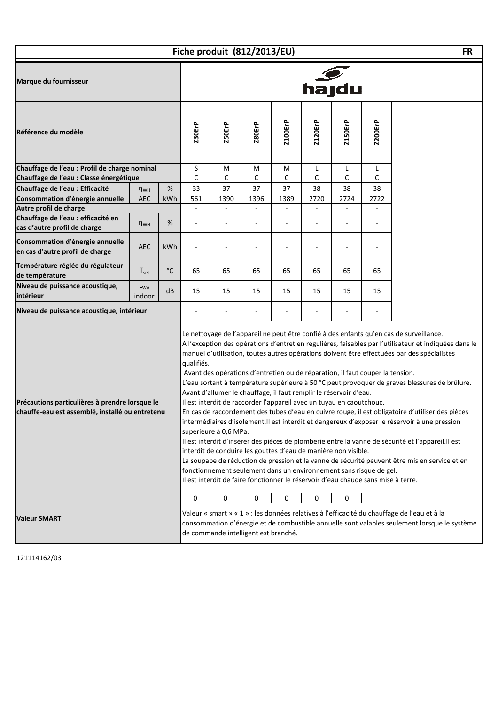|                                                                                                   |                    |                       | Fiche produit (812/2013/EU)                                                                                                                                                                                                                                                                                                                                                                                                                             |                          |                                           |                |                          |                                                                                                                                                                                                                                                                                                                                                                                                                                                                                                                                                                                                                                                                                                                                                                                                              |      |                                                                                                                                                                                             |  |  |
|---------------------------------------------------------------------------------------------------|--------------------|-----------------------|---------------------------------------------------------------------------------------------------------------------------------------------------------------------------------------------------------------------------------------------------------------------------------------------------------------------------------------------------------------------------------------------------------------------------------------------------------|--------------------------|-------------------------------------------|----------------|--------------------------|--------------------------------------------------------------------------------------------------------------------------------------------------------------------------------------------------------------------------------------------------------------------------------------------------------------------------------------------------------------------------------------------------------------------------------------------------------------------------------------------------------------------------------------------------------------------------------------------------------------------------------------------------------------------------------------------------------------------------------------------------------------------------------------------------------------|------|---------------------------------------------------------------------------------------------------------------------------------------------------------------------------------------------|--|--|
| Marque du fournisseur                                                                             |                    |                       |                                                                                                                                                                                                                                                                                                                                                                                                                                                         | hajdu                    |                                           |                |                          |                                                                                                                                                                                                                                                                                                                                                                                                                                                                                                                                                                                                                                                                                                                                                                                                              |      |                                                                                                                                                                                             |  |  |
| Référence du modèle                                                                               | <b>Z30ErP</b>      | Z50ErP                | <b>Z80ErP</b>                                                                                                                                                                                                                                                                                                                                                                                                                                           | Z100ErP                  | Z120ErP                                   | <b>Z150ErP</b> | <b>Z200ErP</b>           |                                                                                                                                                                                                                                                                                                                                                                                                                                                                                                                                                                                                                                                                                                                                                                                                              |      |                                                                                                                                                                                             |  |  |
| Chauffage de l'eau : Profil de charge nominal                                                     |                    |                       | S                                                                                                                                                                                                                                                                                                                                                                                                                                                       | М                        | M                                         | M              | L                        | L                                                                                                                                                                                                                                                                                                                                                                                                                                                                                                                                                                                                                                                                                                                                                                                                            | L    |                                                                                                                                                                                             |  |  |
| Chauffage de l'eau : Classe énergétique                                                           |                    |                       | C                                                                                                                                                                                                                                                                                                                                                                                                                                                       | C                        | $\mathsf{C}$                              | C              | С                        | C                                                                                                                                                                                                                                                                                                                                                                                                                                                                                                                                                                                                                                                                                                                                                                                                            | C    |                                                                                                                                                                                             |  |  |
| Chauffage de l'eau : Efficacité                                                                   | $n_{WH}$           | %                     | 33                                                                                                                                                                                                                                                                                                                                                                                                                                                      | 37                       | 37                                        | 37             | 38                       | 38                                                                                                                                                                                                                                                                                                                                                                                                                                                                                                                                                                                                                                                                                                                                                                                                           | 38   |                                                                                                                                                                                             |  |  |
| Consommation d'énergie annuelle                                                                   | <b>AEC</b>         | kWh                   | 561                                                                                                                                                                                                                                                                                                                                                                                                                                                     | 1390                     | 1396                                      | 1389           | 2720                     | 2724                                                                                                                                                                                                                                                                                                                                                                                                                                                                                                                                                                                                                                                                                                                                                                                                         | 2722 |                                                                                                                                                                                             |  |  |
| Autre profil de charge                                                                            |                    |                       | $\overline{\phantom{a}}$                                                                                                                                                                                                                                                                                                                                                                                                                                | $\overline{\phantom{a}}$ |                                           | $\overline{a}$ | $\overline{\phantom{a}}$ |                                                                                                                                                                                                                                                                                                                                                                                                                                                                                                                                                                                                                                                                                                                                                                                                              |      |                                                                                                                                                                                             |  |  |
| Chauffage de l'eau : efficacité en<br>cas d'autre profil de charge                                | $n_{WH}$           | %                     |                                                                                                                                                                                                                                                                                                                                                                                                                                                         |                          |                                           |                |                          |                                                                                                                                                                                                                                                                                                                                                                                                                                                                                                                                                                                                                                                                                                                                                                                                              |      |                                                                                                                                                                                             |  |  |
| Consommation d'énergie annuelle<br>en cas d'autre profil de charge                                | <b>AEC</b>         | kWh                   |                                                                                                                                                                                                                                                                                                                                                                                                                                                         |                          |                                           |                |                          |                                                                                                                                                                                                                                                                                                                                                                                                                                                                                                                                                                                                                                                                                                                                                                                                              |      |                                                                                                                                                                                             |  |  |
| Température réglée du régulateur<br>de température                                                | $T_{\rm set}$      | $^{\circ}$ C          | 65                                                                                                                                                                                                                                                                                                                                                                                                                                                      | 65                       | 65                                        | 65             | 65                       | 65                                                                                                                                                                                                                                                                                                                                                                                                                                                                                                                                                                                                                                                                                                                                                                                                           | 65   |                                                                                                                                                                                             |  |  |
| Niveau de puissance acoustique,<br>intérieur                                                      | $L_{WA}$<br>indoor | dB                    | 15                                                                                                                                                                                                                                                                                                                                                                                                                                                      | 15                       | 15                                        | 15             | 15                       | 15                                                                                                                                                                                                                                                                                                                                                                                                                                                                                                                                                                                                                                                                                                                                                                                                           | 15   |                                                                                                                                                                                             |  |  |
| Niveau de puissance acoustique, intérieur                                                         |                    |                       |                                                                                                                                                                                                                                                                                                                                                                                                                                                         |                          |                                           |                |                          |                                                                                                                                                                                                                                                                                                                                                                                                                                                                                                                                                                                                                                                                                                                                                                                                              |      |                                                                                                                                                                                             |  |  |
| Précautions particulières à prendre lorsque le<br>chauffe-eau est assemblé, installé ou entretenu | qualifiés.         | supérieure à 0,6 MPa. | Avant des opérations d'entretien ou de réparation, il faut couper la tension.<br>Avant d'allumer le chauffage, il faut remplir le réservoir d'eau.<br>Il est interdit de raccorder l'appareil avec un tuyau en caoutchouc.<br>interdit de conduire les gouttes d'eau de manière non visible.<br>fonctionnement seulement dans un environnement sans risque de gel.<br>Il est interdit de faire fonctionner le réservoir d'eau chaude sans mise à terre. |                          |                                           |                |                          | Le nettoyage de l'appareil ne peut être confié à des enfants qu'en cas de surveillance.<br>A l'exception des opérations d'entretien régulières, faisables par l'utilisateur et indiquées dans le<br>manuel d'utilisation, toutes autres opérations doivent être effectuées par des spécialistes<br>L'eau sortant à température supérieure à 50 °C peut provoquer de graves blessures de brûlure.<br>En cas de raccordement des tubes d'eau en cuivre rouge, il est obligatoire d'utiliser des pièces<br>intermédiaires d'isolement.Il est interdit et dangereux d'exposer le réservoir à une pression<br>Il est interdit d'insérer des pièces de plomberie entre la vanne de sécurité et l'appareil. Il est<br>La soupape de réduction de pression et la vanne de sécurité peuvent être mis en service et en |      |                                                                                                                                                                                             |  |  |
| <b>Valeur SMART</b>                                                                               |                    |                       | 0                                                                                                                                                                                                                                                                                                                                                                                                                                                       | 0                        | 0<br>de commande intelligent est branché. | 0              | 0                        | 0                                                                                                                                                                                                                                                                                                                                                                                                                                                                                                                                                                                                                                                                                                                                                                                                            |      | Valeur « smart » « 1 » : les données relatives à l'efficacité du chauffage de l'eau et à la<br>consommation d'énergie et de combustible annuelle sont valables seulement lorsque le système |  |  |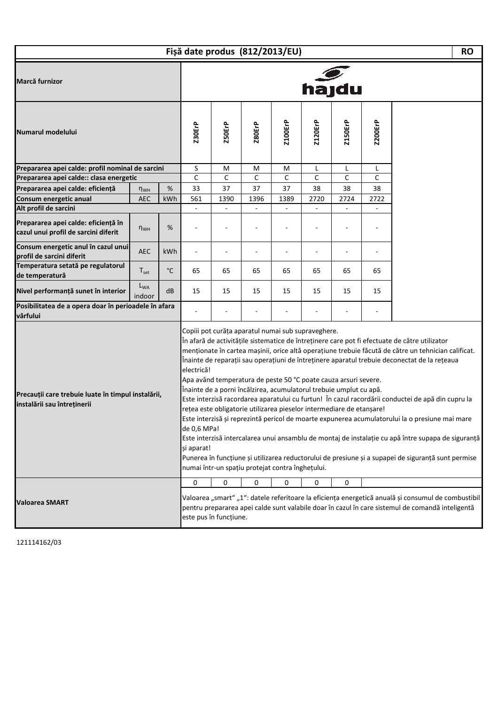|                                                                                   |                    |                                         | Fișă date produs (812/2013/EU) |                                                                                                                                                                                                                                                                                                                         |                |                |                |      |                                                                                                                                                                                                                                                                                                                                                                                                                                                                                                                                                                                                                                                                                                                         | <b>RO</b>                                                                                                                                                                                              |  |
|-----------------------------------------------------------------------------------|--------------------|-----------------------------------------|--------------------------------|-------------------------------------------------------------------------------------------------------------------------------------------------------------------------------------------------------------------------------------------------------------------------------------------------------------------------|----------------|----------------|----------------|------|-------------------------------------------------------------------------------------------------------------------------------------------------------------------------------------------------------------------------------------------------------------------------------------------------------------------------------------------------------------------------------------------------------------------------------------------------------------------------------------------------------------------------------------------------------------------------------------------------------------------------------------------------------------------------------------------------------------------------|--------------------------------------------------------------------------------------------------------------------------------------------------------------------------------------------------------|--|
| Marcă furnizor                                                                    |                    |                                         | hajdu                          |                                                                                                                                                                                                                                                                                                                         |                |                |                |      |                                                                                                                                                                                                                                                                                                                                                                                                                                                                                                                                                                                                                                                                                                                         |                                                                                                                                                                                                        |  |
| Numarul modelului                                                                 | <b>Z30ErP</b>      | Z50ErP                                  | <b>Z80ErP</b>                  | <b>Z100ErP</b>                                                                                                                                                                                                                                                                                                          | <b>Z120ErP</b> | <b>Z150ErP</b> | <b>Z200ErP</b> |      |                                                                                                                                                                                                                                                                                                                                                                                                                                                                                                                                                                                                                                                                                                                         |                                                                                                                                                                                                        |  |
| Prepararea apei calde: profil nominal de sarcini                                  |                    |                                         | S                              | M                                                                                                                                                                                                                                                                                                                       | M              | M              | L              | L    | L                                                                                                                                                                                                                                                                                                                                                                                                                                                                                                                                                                                                                                                                                                                       |                                                                                                                                                                                                        |  |
| Prepararea apei calde:: clasa energetic                                           |                    |                                         | $\mathsf{C}$                   | C                                                                                                                                                                                                                                                                                                                       | C              | C              | C              | C    | C                                                                                                                                                                                                                                                                                                                                                                                                                                                                                                                                                                                                                                                                                                                       |                                                                                                                                                                                                        |  |
| Prepararea apei calde: eficiență                                                  | $n_{WH}$           | %                                       | 33                             | 37                                                                                                                                                                                                                                                                                                                      | 37             | 37             | 38             | 38   | 38                                                                                                                                                                                                                                                                                                                                                                                                                                                                                                                                                                                                                                                                                                                      |                                                                                                                                                                                                        |  |
| Consum energetic anual                                                            | <b>AEC</b>         | kWh                                     | 561                            | 1390                                                                                                                                                                                                                                                                                                                    | 1396           | 1389           | 2720           | 2724 | 2722                                                                                                                                                                                                                                                                                                                                                                                                                                                                                                                                                                                                                                                                                                                    |                                                                                                                                                                                                        |  |
| Alt profil de sarcini                                                             |                    |                                         |                                |                                                                                                                                                                                                                                                                                                                         |                |                |                |      |                                                                                                                                                                                                                                                                                                                                                                                                                                                                                                                                                                                                                                                                                                                         |                                                                                                                                                                                                        |  |
| Prepararea apei calde: eficiență în<br>cazul unui profil de sarcini diferit       | $n_{WH}$           | %                                       |                                |                                                                                                                                                                                                                                                                                                                         |                |                |                |      |                                                                                                                                                                                                                                                                                                                                                                                                                                                                                                                                                                                                                                                                                                                         |                                                                                                                                                                                                        |  |
| Consum energetic anul în cazul unui<br>profil de sarcini diferit                  | <b>AEC</b>         | kWh                                     |                                |                                                                                                                                                                                                                                                                                                                         |                |                |                |      |                                                                                                                                                                                                                                                                                                                                                                                                                                                                                                                                                                                                                                                                                                                         |                                                                                                                                                                                                        |  |
| Temperatura setată pe regulatorul<br>de temperatură                               | $T_{\rm set}$      | $^{\circ}{\rm C}$                       | 65                             | 65                                                                                                                                                                                                                                                                                                                      | 65             | 65             | 65             | 65   | 65                                                                                                                                                                                                                                                                                                                                                                                                                                                                                                                                                                                                                                                                                                                      |                                                                                                                                                                                                        |  |
| Nivel performanță sunet în interior                                               | $L_{WA}$<br>indoor | dB                                      | 15                             | 15                                                                                                                                                                                                                                                                                                                      | 15             | 15             | 15             | 15   | 15                                                                                                                                                                                                                                                                                                                                                                                                                                                                                                                                                                                                                                                                                                                      |                                                                                                                                                                                                        |  |
| Posibilitatea de a opera doar în perioadele în afara<br>vârfului                  |                    |                                         |                                |                                                                                                                                                                                                                                                                                                                         |                |                |                |      |                                                                                                                                                                                                                                                                                                                                                                                                                                                                                                                                                                                                                                                                                                                         |                                                                                                                                                                                                        |  |
| Precauții care trebuie luate în timpul instalării,<br>instalării sau întreținerii |                    | electrică!<br>de 0,6 MPa!<br>și aparat! |                                | Copiii pot curăța aparatul numai sub supraveghere.<br>Apa având temperatura de peste 50 °C poate cauza arsuri severe.<br>Înainte de a porni încălzirea, acumulatorul trebuie umplut cu apă.<br>rețea este obligatorie utilizarea pieselor intermediare de etanșare!<br>numai într-un spațiu protejat contra înghețului. |                |                |                |      | În afară de activitățile sistematice de întreținere care pot fi efectuate de către utilizator<br>menționate în cartea mașinii, orice altă operațiune trebuie făcută de către un tehnician calificat.<br>Înainte de reparații sau operațiuni de întreținere aparatul trebuie deconectat de la rețeaua<br>Este interzisă racordarea aparatului cu furtun! În cazul racordării conductei de apă din cupru la<br>Este interzisă și reprezintă pericol de moarte expunerea acumulatorului la o presiune mai mare<br>Este interzisă intercalarea unui ansamblu de montaj de instalație cu apă între supapa de siguranță<br>Punerea în funcțiune și utilizarea reductorului de presiune și a supapei de siguranță sunt permise |                                                                                                                                                                                                        |  |
| <b>Valoarea SMART</b>                                                             |                    |                                         | 0                              | 0<br>este pus în funcțiune.                                                                                                                                                                                                                                                                                             | 0              | 0              | 0              | 0    |                                                                                                                                                                                                                                                                                                                                                                                                                                                                                                                                                                                                                                                                                                                         | Valoarea "smart" "1": datele referitoare la eficiența energetică anuală și consumul de combustibil<br>pentru prepararea apei calde sunt valabile doar în cazul în care sistemul de comandă inteligentă |  |